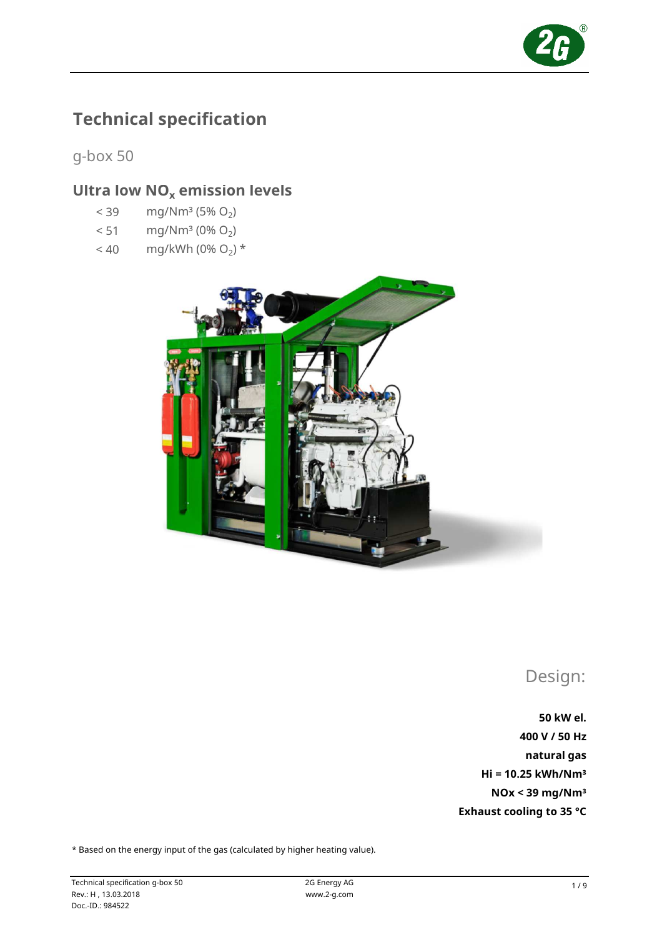

# Technical specification

g-box 50

# Ultra low  $NO<sub>x</sub>$  emission levels

- $< 39$  mg/Nm<sup>3</sup> (5% O<sub>2</sub>)
- $< 51$  mg/Nm<sup>3</sup> (0% O<sub>2</sub>)
- $< 40$  mg/kWh (0% O<sub>2</sub>) \*



Design:

50 kW el. 400 V / 50 Hz natural gas NOx < 39 mg/Nm³ Exhaust cooling to 35 °C Hi = 10.25 kWh/Nm³

\* Based on the energy input of the gas (calculated by higher heating value).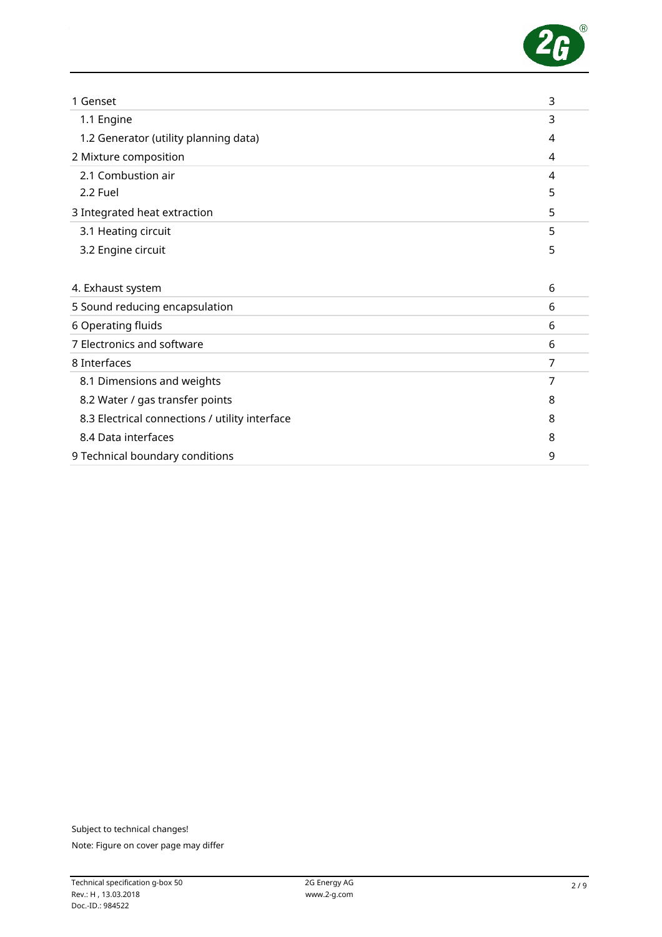

| 1 Genset                                       | 3 |
|------------------------------------------------|---|
| 1.1 Engine                                     | 3 |
| 1.2 Generator (utility planning data)          | 4 |
| 2 Mixture composition                          | 4 |
| 2.1 Combustion air                             | 4 |
| 2.2 Fuel                                       | 5 |
| 3 Integrated heat extraction                   | 5 |
| 3.1 Heating circuit                            | 5 |
| 3.2 Engine circuit                             | 5 |
|                                                |   |
| 4. Exhaust system                              | 6 |
| 5 Sound reducing encapsulation                 | 6 |
| 6 Operating fluids                             | 6 |
| 7 Electronics and software                     | 6 |
| 8 Interfaces                                   | 7 |
| 8.1 Dimensions and weights                     | 7 |
| 8.2 Water / gas transfer points                | 8 |
| 8.3 Electrical connections / utility interface | 8 |
| 8.4 Data interfaces                            | 8 |
| 9 Technical boundary conditions                | 9 |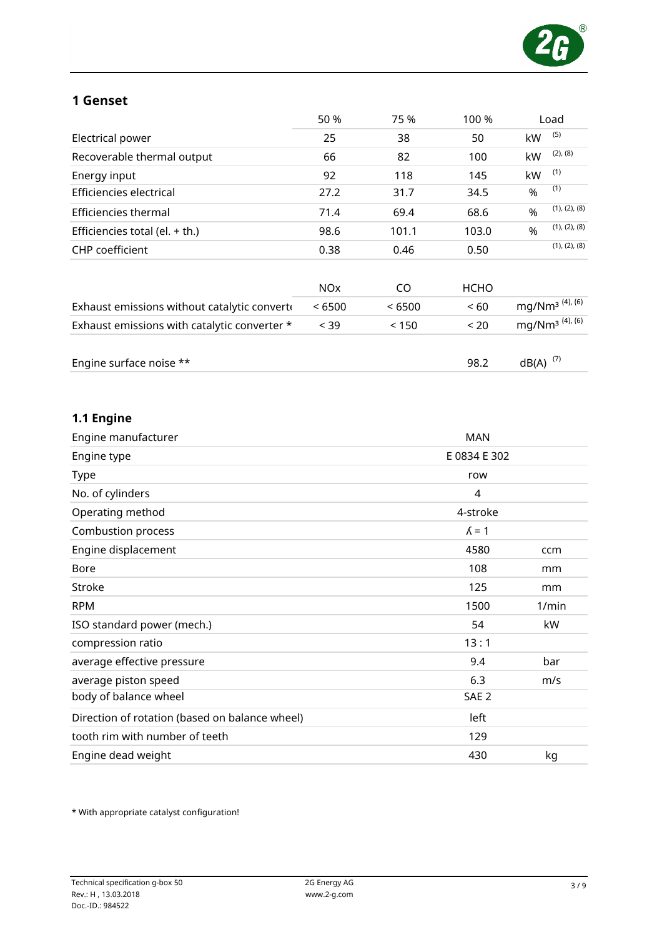

### 1 Genset

|                                              | 50 %                  | 75 %   | 100 %       |               | Load                                               |
|----------------------------------------------|-----------------------|--------|-------------|---------------|----------------------------------------------------|
| Electrical power                             | 25                    | 38     | 50          | kW            | (5)                                                |
| Recoverable thermal output                   | 66                    | 82     | 100         | kW            | $(2)$ , $(8)$                                      |
| Energy input                                 | 92                    | 118    | 145         | kW            | (1)                                                |
| Efficiencies electrical                      | 27.2                  | 31.7   | 34.5        | %             | (1)                                                |
| Efficiencies thermal                         | 71.4                  | 69.4   | 68.6        | $\frac{0}{0}$ | (1), (2), (8)                                      |
| Efficiencies total (el. $+$ th.)             | 98.6                  | 101.1  | 103.0       | $\frac{9}{6}$ | (1), (2), (8)                                      |
| <b>CHP</b> coefficient                       | 0.38                  | 0.46   | 0.50        |               | (1), (2), (8)                                      |
|                                              | <b>NO<sub>X</sub></b> | CO.    | <b>HCHO</b> |               |                                                    |
| Exhaust emissions without catalytic converte | < 6500                | < 6500 | < 60        |               | mg/Nm <sup>3 (4), <math>\overline{6}</math>)</sup> |
| Exhaust emissions with catalytic converter * | < 39                  | < 150  | < 20        |               | mg/Nm <sup>3</sup> $(4)$ , $(6)$                   |
| Engine surface noise **                      |                       |        | 98.2        | dB(A)         | (7)                                                |

# 1.1 Engine

| ccm   |
|-------|
| mm    |
| mm    |
| 1/min |
| kW    |
|       |
| bar   |
| m/s   |
|       |
|       |
|       |
| kg    |
|       |

\* With appropriate catalyst configuration!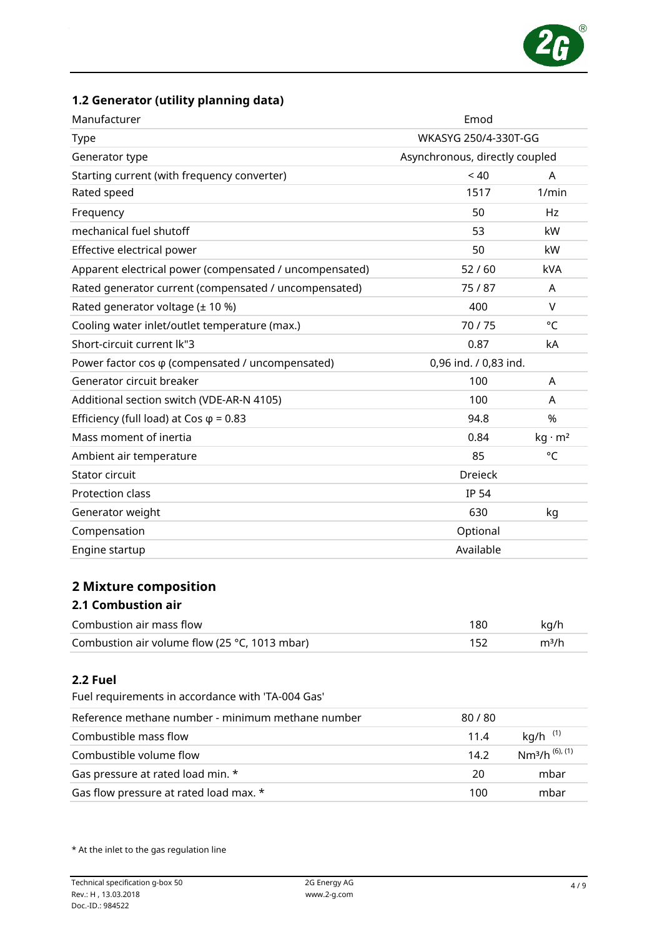

# 1.2 Generator (utility planning data)

| Manufacturer                                             | Emod                           |                |  |
|----------------------------------------------------------|--------------------------------|----------------|--|
| Type                                                     | WKASYG 250/4-330T-GG           |                |  |
| Generator type                                           | Asynchronous, directly coupled |                |  |
| Starting current (with frequency converter)              | < 40                           | A              |  |
| Rated speed                                              | 1517                           | 1/min          |  |
| Frequency                                                | 50                             | Hz             |  |
| mechanical fuel shutoff                                  | 53                             | kW             |  |
| Effective electrical power                               | 50                             | kW             |  |
| Apparent electrical power (compensated / uncompensated)  | 52/60                          | <b>kVA</b>     |  |
| Rated generator current (compensated / uncompensated)    | 75/87                          | A              |  |
| Rated generator voltage (± 10 %)                         | 400                            | v              |  |
| Cooling water inlet/outlet temperature (max.)            | 70/75                          | °C             |  |
| Short-circuit current lk"3                               | 0.87                           | kA             |  |
| Power factor cos $\varphi$ (compensated / uncompensated) | 0,96 ind. / 0,83 ind.          |                |  |
| Generator circuit breaker                                | 100                            | A              |  |
| Additional section switch (VDE-AR-N 4105)                | 100                            | A              |  |
| Efficiency (full load) at Cos $\varphi$ = 0.83           | 94.8                           | %              |  |
| Mass moment of inertia                                   | 0.84                           | $kq \cdot m^2$ |  |
| Ambient air temperature                                  | 85                             | °C             |  |
| Stator circuit                                           | <b>Dreieck</b>                 |                |  |
| <b>Protection class</b>                                  | <b>IP 54</b>                   |                |  |
| Generator weight                                         | 630                            | kg             |  |
| Compensation                                             | Optional                       |                |  |
| Engine startup                                           | Available                      |                |  |
|                                                          |                                |                |  |
| <b>2 Mixture composition</b>                             |                                |                |  |
| <b>2.1 Combustion air</b>                                |                                |                |  |

| Combustion air mass flow                               | kg/h              |
|--------------------------------------------------------|-------------------|
| Combustion air volume flow (25 $\degree$ C, 1013 mbar) | m <sup>3</sup> /h |

#### 2.2 Fuel

Fuel requirements in accordance with 'TA-004 Gas'

| Reference methane number - minimum methane number | 80 / 80 |                                        |
|---------------------------------------------------|---------|----------------------------------------|
| Combustible mass flow                             | 11.4    | $kg/h$ $(1)$                           |
| Combustible volume flow                           | 14.2    | Nm <sup>3</sup> /h <sup>(6), (1)</sup> |
| Gas pressure at rated load min. *                 | 20      | mbar                                   |
| Gas flow pressure at rated load max. *            | 100     | mbar                                   |

\* At the inlet to the gas regulation line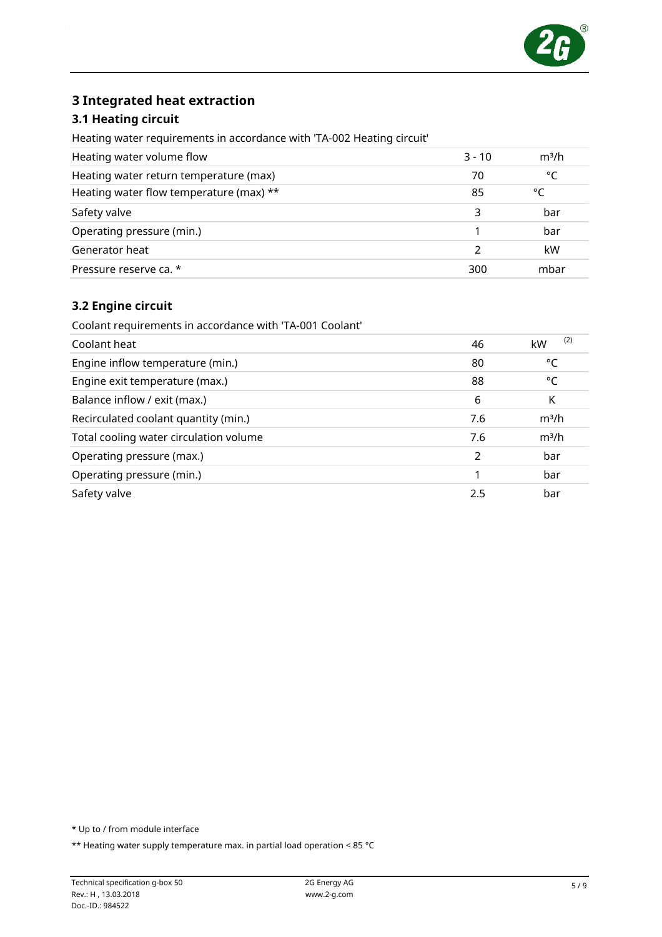

### 3 Integrated heat extraction

#### 3.1 Heating circuit

Heating water requirements in accordance with 'TA-002 Heating circuit'

| Heating water volume flow               | $3 - 10$ | m <sup>3</sup> /h |
|-----------------------------------------|----------|-------------------|
| Heating water return temperature (max)  | 70       | °⊂                |
| Heating water flow temperature (max) ** | 85       | °C                |
| Safety valve                            | 3        | bar               |
| Operating pressure (min.)               |          | bar               |
| Generator heat                          |          | kW                |
| Pressure reserve ca. *                  | 300      | mbar              |

#### 3.2 Engine circuit

Coolant requirements in accordance with 'TA-001 Coolant'

| Coolant heat                           | 46            | (2)<br>kW         |
|----------------------------------------|---------------|-------------------|
| Engine inflow temperature (min.)       | 80            | °C                |
| Engine exit temperature (max.)         | 88            | °C                |
| Balance inflow / exit (max.)           | 6             | Κ                 |
| Recirculated coolant quantity (min.)   | 7.6           | m <sup>3</sup> /h |
| Total cooling water circulation volume | 7.6           | m <sup>3</sup> /h |
| Operating pressure (max.)              | $\mathcal{P}$ | bar               |
| Operating pressure (min.)              |               | bar               |
| Safety valve                           | 2.5           | bar               |

\* Up to / from module interface

\*\* Heating water supply temperature max. in partial load operation < 85 °C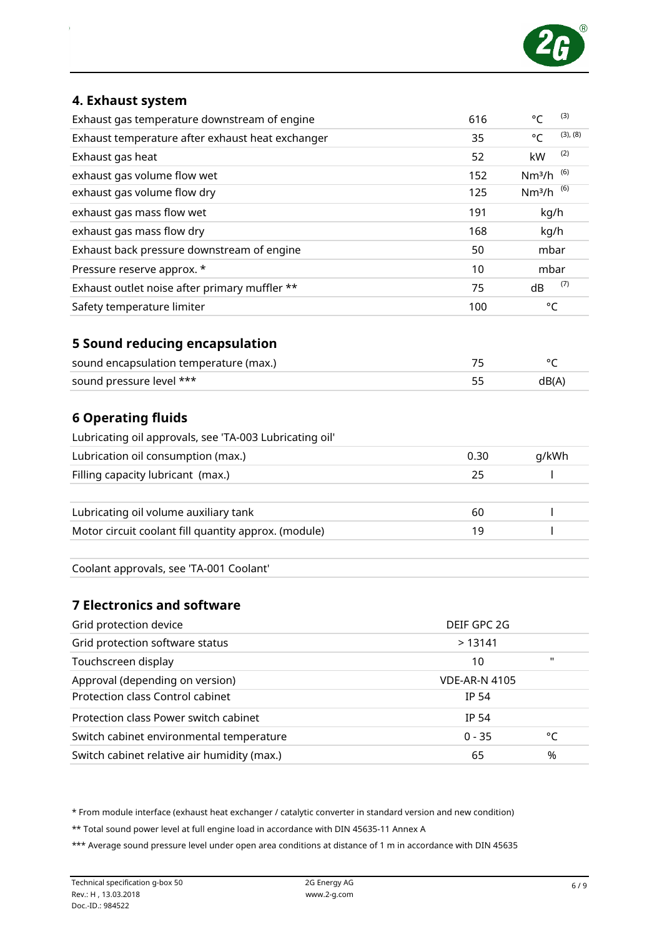

#### 4. Exhaust system

| Exhaust gas temperature downstream of engine     | 616 | (3)<br>$\circ$                    |
|--------------------------------------------------|-----|-----------------------------------|
| Exhaust temperature after exhaust heat exchanger | 35  | (3), (8)<br>$^{\circ}C$           |
| Exhaust gas heat                                 | 52  | (2)<br>kW                         |
| exhaust gas volume flow wet                      | 152 | (6)<br>Nm <sup>3</sup> /h         |
| exhaust gas volume flow dry                      | 125 | Nm <sup>3</sup> /h <sup>(6)</sup> |
| exhaust gas mass flow wet                        | 191 | kg/h                              |
| exhaust gas mass flow dry                        | 168 | kg/h                              |
| Exhaust back pressure downstream of engine       | 50  | mbar                              |
| Pressure reserve approx. *                       | 10  | mbar                              |
| Exhaust outlet noise after primary muffler **    | 75  | (7)<br>dB                         |
| Safety temperature limiter                       | 100 | °C                                |
| <b>5 Sound reducing encapsulation</b>            |     |                                   |
| sound encapsulation temperature (max.)           | 75  | °C                                |
| sound pressure level ***                         | 55  | dB(A)                             |

### 6 Operating fluids

| Lubricating oil approvals, see 'TA-003 Lubricating oil' |      |       |
|---------------------------------------------------------|------|-------|
| Lubrication oil consumption (max.)                      | 0.30 | g/kWh |
| Filling capacity lubricant (max.)                       | 25   |       |
|                                                         |      |       |
| Lubricating oil volume auxiliary tank                   | 60   |       |
| Motor circuit coolant fill quantity approx. (module)    | 19   |       |
|                                                         |      |       |

Coolant approvals, see 'TA-001 Coolant'

### 7 Electronics and software

| Grid protection device                      | DEIF GPC 2G          |                |  |
|---------------------------------------------|----------------------|----------------|--|
| Grid protection software status             | >13141               |                |  |
| Touchscreen display                         | 10                   | $\blacksquare$ |  |
| Approval (depending on version)             | <b>VDE-AR-N 4105</b> |                |  |
| Protection class Control cabinet            | <b>IP 54</b>         |                |  |
| Protection class Power switch cabinet       | IP 54                |                |  |
| Switch cabinet environmental temperature    | $0 - 35$             | °C             |  |
| Switch cabinet relative air humidity (max.) | 65                   | %              |  |

\* From module interface (exhaust heat exchanger / catalytic converter in standard version and new condition)

\*\* Total sound power level at full engine load in accordance with DIN 45635-11 Annex A

\*\*\* Average sound pressure level under open area conditions at distance of 1 m in accordance with DIN 45635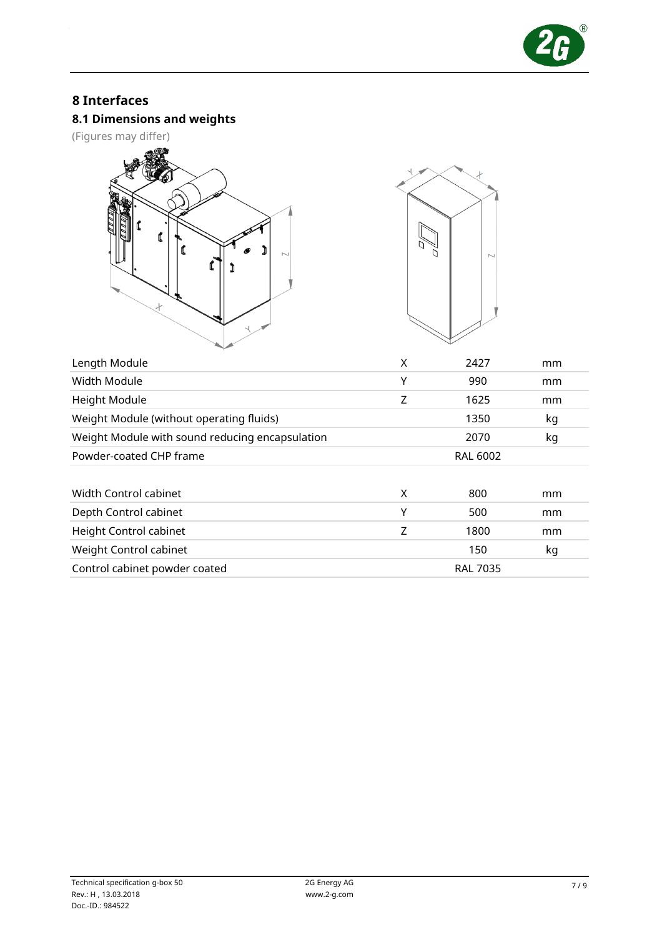

## 8 Interfaces

### 8.1 Dimensions and weights

(Figures may differ)





| Length Module                                   | X | 2427            | mm |
|-------------------------------------------------|---|-----------------|----|
| Width Module                                    | Υ | 990             | mm |
| Height Module                                   | Z | 1625            | mm |
| Weight Module (without operating fluids)        |   | 1350            | kg |
| Weight Module with sound reducing encapsulation |   | 2070            | kg |
| Powder-coated CHP frame                         |   | <b>RAL 6002</b> |    |
|                                                 |   |                 |    |
| Width Control cabinet                           | X | 800             | mm |
| Depth Control cabinet                           | Υ | 500             | mm |
| Height Control cabinet                          | Z | 1800            | mm |
| Weight Control cabinet                          |   | 150             | kg |
| Control cabinet powder coated                   |   | <b>RAL 7035</b> |    |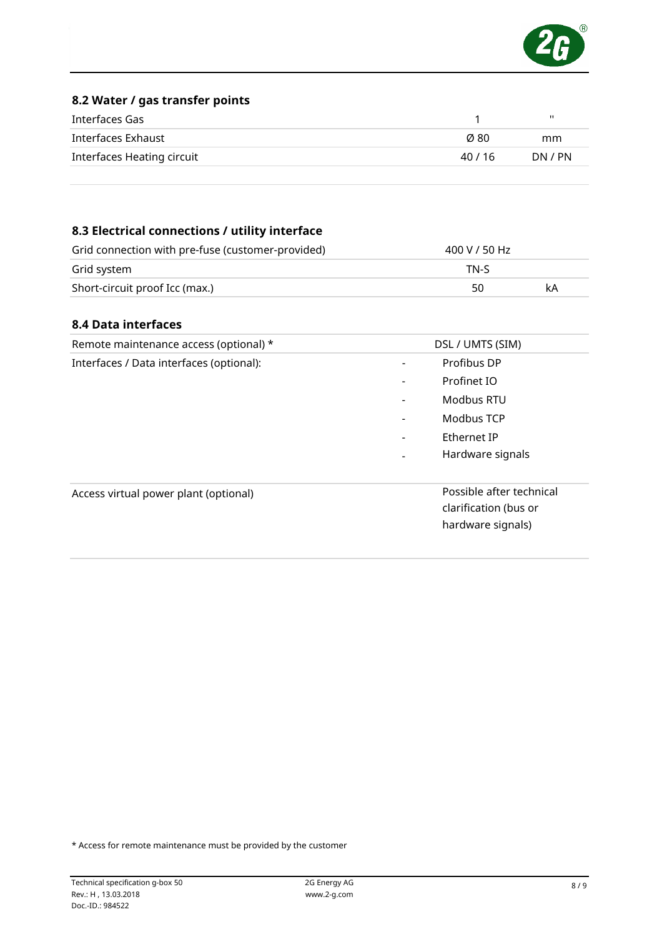

#### 8.2 Water / gas transfer points

| Interfaces Gas             |         | ш       |
|----------------------------|---------|---------|
| Interfaces Exhaust         | Ø 80    | mm      |
| Interfaces Heating circuit | 40 / 16 | DN / PN |

### 8.3 Electrical connections / utility interface

| Grid connection with pre-fuse (customer-provided) | 400 V / 50 Hz |    |
|---------------------------------------------------|---------------|----|
| Grid system                                       | TN-S          |    |
| Short-circuit proof Icc (max.)                    | 50            | kA |

#### 8.4 Data interfaces

| Remote maintenance access (optional) *                                                                          | DSL / UMTS (SIM)                            |
|-----------------------------------------------------------------------------------------------------------------|---------------------------------------------|
| Interfaces / Data interfaces (optional):                                                                        | Profibus DP<br>۰                            |
|                                                                                                                 | Profinet IO<br>$\qquad \qquad \blacksquare$ |
|                                                                                                                 | Modbus RTU<br>-                             |
|                                                                                                                 | Modbus TCP<br>$\qquad \qquad \blacksquare$  |
|                                                                                                                 | Ethernet IP<br>$\overline{\phantom{0}}$     |
|                                                                                                                 | Hardware signals                            |
| Possible after technical<br>Access virtual power plant (optional)<br>clarification (bus or<br>hardware signals) |                                             |

\* Access for remote maintenance must be provided by the customer